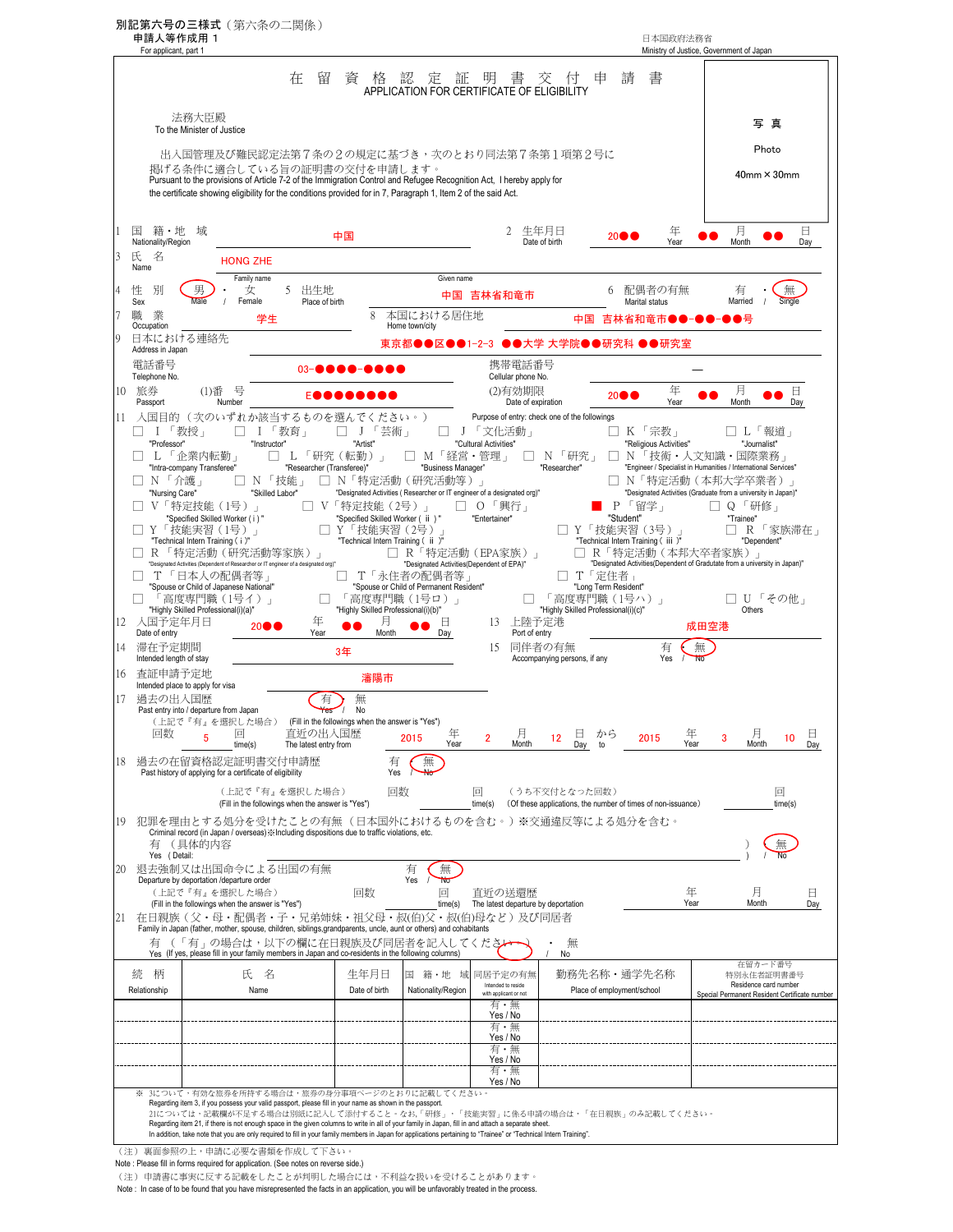|                                    | 別記第六号の三様式(第六条の二関係)<br>申請人等作成用 1<br>For applicant, part 1                                            |                                                                                                          |                                                                                                                                                                                                                                                                                      |                                               |                                                                               | 日本国政府法務省                          | Ministry of Justice, Government of Japan                                            |
|------------------------------------|-----------------------------------------------------------------------------------------------------|----------------------------------------------------------------------------------------------------------|--------------------------------------------------------------------------------------------------------------------------------------------------------------------------------------------------------------------------------------------------------------------------------------|-----------------------------------------------|-------------------------------------------------------------------------------|-----------------------------------|-------------------------------------------------------------------------------------|
|                                    |                                                                                                     | 留<br>在<br>資                                                                                              | 認<br>一定 証<br>格<br>APPLICATION FOR CERTIFICATE OF ELIGIBILITY                                                                                                                                                                                                                         | 明 書 交 付                                       | 申<br>請                                                                        | 書                                 |                                                                                     |
|                                    | 法務大臣殿<br>To the Minister of Justice                                                                 |                                                                                                          |                                                                                                                                                                                                                                                                                      |                                               |                                                                               |                                   | 写真                                                                                  |
|                                    |                                                                                                     | 掲げる条件に適合している旨の証明書の交付を申請します。                                                                              | 出入国管理及び難民認定法第7条の2の規定に基づき,次のとおり同法第7条第1項第2号に<br>Pursuant to the provisions of Article 7-2 of the Immigration Control and Refugee Recognition Act, I hereby apply for<br>the certificate showing eligibility for the conditions provided for in 7, Paragraph 1, Item 2 of the said Act. |                                               |                                                                               |                                   | Photo<br>$40$ mm $\times$ 30mm                                                      |
| 籍・地 域<br>国<br>Nationality/Region   |                                                                                                     | 中国                                                                                                       |                                                                                                                                                                                                                                                                                      | 生年月日<br>Date of birth                         | 20 <b>00</b>                                                                  | 年<br>Year                         | 月<br>日<br>Month<br>Day                                                              |
| 氏<br>名<br>Name                     | <b>HONG ZHE</b>                                                                                     |                                                                                                          |                                                                                                                                                                                                                                                                                      |                                               |                                                                               |                                   |                                                                                     |
| 性<br>別<br>Sex                      | Family name<br>女<br>Male<br>Female                                                                  | 5 出生地<br>Place of birth                                                                                  | Given name                                                                                                                                                                                                                                                                           | 中国 吉林省和竜市                                     | 6                                                                             | 配偶者の有無<br>Marital status          | 無<br>有<br>Married<br>Single                                                         |
| 職<br>業<br>Occupation               | 学生                                                                                                  |                                                                                                          | 本国における居住地<br>8<br>Home town/city                                                                                                                                                                                                                                                     |                                               | 中国                                                                            | 吉林省和竜市●●−●●−●●号                   |                                                                                     |
| 日本における連絡先<br>Address in Japan      |                                                                                                     |                                                                                                          |                                                                                                                                                                                                                                                                                      |                                               | 東京都●●区●●1-2-3 ●●大学 大学院●●研究科 ●●研究室                                             |                                   |                                                                                     |
| 電話番号<br>Telephone No.              |                                                                                                     | 03- <b>0000-</b>                                                                                         |                                                                                                                                                                                                                                                                                      | 携帯電話番号<br>Cellular phone No.                  |                                                                               |                                   |                                                                                     |
| 10 旅券<br>Passport                  | (1)番 号<br>Number                                                                                    | EOOO                                                                                                     |                                                                                                                                                                                                                                                                                      | (2)有効期限<br>Date of expiration                 | 20 <b>00</b>                                                                  | 年<br>Year                         | 月<br>日<br>Month<br>Day                                                              |
|                                    |                                                                                                     | 入国目的( 次のいずれか該当するものを選んでください。)                                                                             |                                                                                                                                                                                                                                                                                      | Purpose of entry: check one of the followings |                                                                               |                                   |                                                                                     |
| Ⅰ「教授」<br>"Professor"               | □ Ⅰ 「教育」<br>"Instructor"                                                                            | "Artist"                                                                                                 | J 「芸術」                                                                                                                                                                                                                                                                               | J-文化活動」<br>"Cultural Activities"              |                                                                               | □ K「宗教」<br>"Religious Activities" | □ L「報道」<br>"Journalist"                                                             |
|                                    | L 「企業内転勤」<br>"Intra-company Transferee"                                                             | □ L「研究(転勤)」<br>"Researcher (Transferee)"                                                                 | □ M「経営・管理」<br>"Business Manager"                                                                                                                                                                                                                                                     |                                               | N「研究」<br>"Researcher"                                                         |                                   | N「技術·人文知識·国際業務」<br>"Engineer / Specialist in Humanities / International Services"   |
| N「介護」<br>"Nursing Care"            | □ N「技能」                                                                                             | "Skilled Labor"                                                                                          | □ N「特定活動(研究活動等)」<br>"Designated Activities (Researcher or IT engineer of a designated org)"                                                                                                                                                                                          |                                               |                                                                               |                                   | □ N└特定活動(本邦大学卒業者)」<br>"Designated Activities (Graduate from a university in Japan)" |
|                                    | V「特定技能(1号)」<br>"Specified Skilled Worker (i)"                                                       |                                                                                                          | □ Ⅴ「特定技能(2号)」<br>"Specified Skilled Worker ( ii )"                                                                                                                                                                                                                                   | □ 0「興行」<br>"Entertainer"                      | - P 「留学」<br>"Student"                                                         |                                   | □ Q「研修」<br>"Trainee"                                                                |
|                                    | Y「技能実習(1号)」<br>"Technical Intern Training (i)"                                                      |                                                                                                          | □ Y「技能実習(2号)」<br>"Technical Intern Training ( ii )"                                                                                                                                                                                                                                  |                                               | □ Y「技能実習(3号)」<br>"Technical Intern Training (iii)"                            |                                   | □ R「家族滞在」<br>"Dependent"                                                            |
|                                    | R 「特定活動(研究活動等家族)」                                                                                   |                                                                                                          |                                                                                                                                                                                                                                                                                      | R「特定活動(EPA家族)」                                |                                                                               |                                   | □ R「特定活動(本邦大卒者家族)」                                                                  |
|                                    | "Designated Activities (Dependent of Researcher or IT engineer of a designated org)"<br>T「日本人の配偶者等」 |                                                                                                          | "Designated Activities(Dependent of EPA)"<br>T「永住者の配偶者等」                                                                                                                                                                                                                             |                                               | □ T「定住者」                                                                      |                                   | "Designated Activities(Dependent of Gradutate from a university in Japan)"          |
|                                    | "Spouse or Child of Japanese National"<br>「 高度専門職(1号イ )」                                            |                                                                                                          | "Spouse or Child of Permanent Resident"<br>「 高度専門職(1号ロ )」                                                                                                                                                                                                                            |                                               | "Long Term Resident"<br>「 高度専門職 (1号ハ) 」                                       |                                   | □ U「その他」                                                                            |
| 12 入国予定年月日                         | "Highly Skilled Professional(i)(a)"<br>20 <b>0 C</b>                                                | 年                                                                                                        | "Highly Skilled Professional(i)(b)"<br>月<br>日                                                                                                                                                                                                                                        | 13 上陸予定港                                      | "Highly Skilled Professional(i)(c)"                                           |                                   | Others<br>成田空港                                                                      |
| Date of entry<br>滞在予定期間            |                                                                                                     | Year<br>3年                                                                                               | Month<br>Day                                                                                                                                                                                                                                                                         | Port of entry<br>15 同伴者の有無                    |                                                                               | 有                                 | 無                                                                                   |
| Intended length of stay<br>查証申請予定地 |                                                                                                     |                                                                                                          |                                                                                                                                                                                                                                                                                      |                                               | Accompanying persons, if any                                                  | Yes                               | <b>NO</b>                                                                           |
|                                    | Intended place to apply for visa                                                                    |                                                                                                          | 瀋陽市                                                                                                                                                                                                                                                                                  |                                               |                                                                               |                                   |                                                                                     |
| 過去の出入国歴                            | Past entry into / departure from Japan                                                              | 無<br>有<br>No                                                                                             |                                                                                                                                                                                                                                                                                      |                                               |                                                                               |                                   |                                                                                     |
| 回数                                 | 回                                                                                                   | (上記で『有』を選択した場合) (Fill in the followings when the answer is "Yes")<br>直近の出入国歴                             | 年<br>2015                                                                                                                                                                                                                                                                            | 月                                             | 日<br>から<br>12                                                                 | 2015                              | 月<br>日<br>10<br>3                                                                   |
|                                    | time(s)<br>過去の在留資格認定証明書交付申請歴<br>Past history of applying for a certificate of eligibility           | The latest entry from                                                                                    | Year<br>無<br>有<br>Yes                                                                                                                                                                                                                                                                | Month                                         | Day                                                                           | Year                              | Month<br>Day                                                                        |
|                                    |                                                                                                     | (上記で『有』を選択した場合)<br>(Fill in the followings when the answer is "Yes")                                     | 回数                                                                                                                                                                                                                                                                                   | 回<br>time(s)                                  | (うち不交付となった回数)<br>(Of these applications, the number of times of non-issuance) |                                   | 回<br>time(s)                                                                        |
|                                    |                                                                                                     |                                                                                                          | 犯罪を理由とする処分を受けたことの有無 (日本国外におけるものを含む。)※交通違反等による処分を含む。                                                                                                                                                                                                                                  |                                               |                                                                               |                                   |                                                                                     |
| 有                                  | (具体的内容                                                                                              | Criminal record (in Japan / overseas) : Including dispositions due to traffic violations, etc.           |                                                                                                                                                                                                                                                                                      |                                               |                                                                               |                                   |                                                                                     |
| Yes (Detail:                       | 20 退去強制又は出国命令による出国の有無                                                                               |                                                                                                          | 有<br>無                                                                                                                                                                                                                                                                               |                                               |                                                                               |                                   |                                                                                     |
|                                    | Departure by deportation /departure order<br>(上記で『有』を選択した場合)                                        | 回数                                                                                                       | Yes<br><b>NO</b><br>回                                                                                                                                                                                                                                                                | 直近の送還歴                                        |                                                                               | 年                                 | 日<br>月                                                                              |
|                                    | (Fill in the followings when the answer is "Yes")                                                   |                                                                                                          | time(s)<br>21 在日親族(父・母・配偶者・子・兄弟姉妹・祖父母・叔(伯)父・叔(伯)母など)及び同居者                                                                                                                                                                                                                            | The latest departure by deportation           |                                                                               | Year                              | Month<br>Day                                                                        |
|                                    |                                                                                                     |                                                                                                          | Family in Japan (father, mother, spouse, children, siblings,grandparents, uncle, aunt or others) and cohabitants                                                                                                                                                                     |                                               |                                                                               |                                   |                                                                                     |
| 有                                  |                                                                                                     | Yes (If yes, please fill in your family members in Japan and co-residents in the following columns)      | (「有」の場合は,以下の欄に在日親族及び同居者を記入してくださ↓                                                                                                                                                                                                                                                     |                                               | 無<br>No                                                                       |                                   |                                                                                     |
| 続<br>柄                             | 氏 名                                                                                                 |                                                                                                          | 生年月日<br>国籍・地域                                                                                                                                                                                                                                                                        | 同居予定の有無<br>Intended to reside                 | 勤務先名称・通学先名称                                                                   |                                   | 在留カード番号<br>特別永住者証明書番号<br>Residence card number                                      |
| Relationship                       | Name                                                                                                |                                                                                                          | Date of birth<br>Nationality/Region                                                                                                                                                                                                                                                  | with applicant or not<br>有・無                  | Place of employment/school                                                    |                                   | Special Permanent Resident Certificate number                                       |
|                                    |                                                                                                     |                                                                                                          |                                                                                                                                                                                                                                                                                      | Yes / No<br>有・無                               |                                                                               |                                   |                                                                                     |
|                                    |                                                                                                     |                                                                                                          |                                                                                                                                                                                                                                                                                      | Yes / No<br>有・無                               |                                                                               |                                   |                                                                                     |
|                                    |                                                                                                     |                                                                                                          |                                                                                                                                                                                                                                                                                      |                                               |                                                                               |                                   |                                                                                     |
|                                    |                                                                                                     |                                                                                                          |                                                                                                                                                                                                                                                                                      | Yes / No<br>有・無                               |                                                                               |                                   |                                                                                     |
| $\times$                           |                                                                                                     |                                                                                                          | 3について,有効な旅券を所持する場合は,旅券の身分事項ページのとおりに記載してください。                                                                                                                                                                                                                                         | Yes / No                                      |                                                                               |                                   |                                                                                     |
|                                    |                                                                                                     | Regarding item 3, if you possess your valid passport, please fill in your name as shown in the passport. | 21については,記載欄が不足する場合は別紙に記入して添付すること。なお,「研修」,「技能実習」に係る申請の場合は,「在日親族」のみ記載してください。<br>Regarding item 21, if there is not enough space in the given columns to write in all of your family in Japan, fill in and attach a separate sheet.                                                     |                                               |                                                                               |                                   |                                                                                     |

Note : In case of to be found that you have misrepresented the facts in an application, you will be unfavorably treated in the process.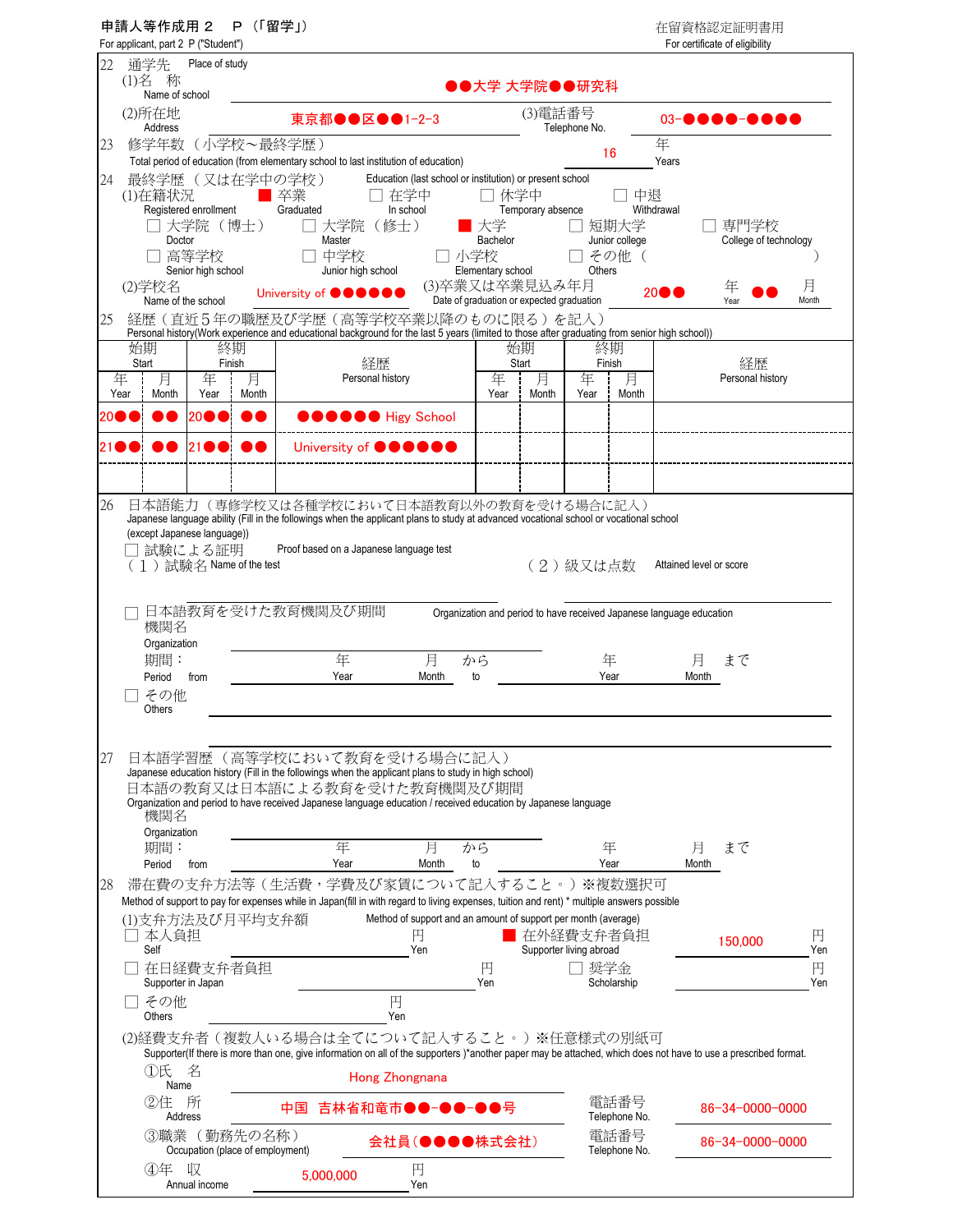|             |                                                       | For applicant, part 2 P ("Student") |                                                  |           |                                                                                     |                        |            |                                                                                                                                                                                                                                                        |                                        |               |              |                                        |             | For certificate of eligibility |                       |  |            |
|-------------|-------------------------------------------------------|-------------------------------------|--------------------------------------------------|-----------|-------------------------------------------------------------------------------------|------------------------|------------|--------------------------------------------------------------------------------------------------------------------------------------------------------------------------------------------------------------------------------------------------------|----------------------------------------|---------------|--------------|----------------------------------------|-------------|--------------------------------|-----------------------|--|------------|
| 22          | 通学先                                                   | Place of study                      |                                                  |           |                                                                                     |                        |            |                                                                                                                                                                                                                                                        |                                        |               |              |                                        |             |                                |                       |  |            |
|             | (1)名 称<br>Name of school                              |                                     | ●●大学 大学院●●研究科                                    |           |                                                                                     |                        |            |                                                                                                                                                                                                                                                        |                                        |               |              |                                        |             |                                |                       |  |            |
|             | (2)所在地<br>Address                                     |                                     |                                                  |           | 東京都●●区●●1-2-3                                                                       |                        |            |                                                                                                                                                                                                                                                        | (3)電話番号                                | Telephone No. |              |                                        |             |                                | 03- <b>0000-0000</b>  |  |            |
| 23          |                                                       |                                     | 修学年数 (小学校~最終学歴)                                  |           | Total period of education (from elementary school to last institution of education) |                        |            |                                                                                                                                                                                                                                                        |                                        |               | 16           |                                        | 年<br>Years  |                                |                       |  |            |
| 24          | (1)在籍状況                                               |                                     | 最終学歴 (又は在学中の学校)                                  | 卒業        |                                                                                     | 在学中                    |            | Education (last school or institution) or present school                                                                                                                                                                                               | 休学中                                    |               |              | 中退                                     |             |                                |                       |  |            |
|             |                                                       | Registered enrollment<br>]大学院 (博士)  |                                                  | Graduated | 大学院 (修士)                                                                            | In school              |            | 大学                                                                                                                                                                                                                                                     | Temporary absence                      |               |              | 短期大学                                   | Withdrawal  |                                | 専門学校                  |  |            |
|             | Doctor                                                | 高等学校                                |                                                  |           | Master<br>中学校                                                                       |                        |            | Bachelor<br>小学校                                                                                                                                                                                                                                        |                                        |               |              | Junior college<br>その他(                 |             |                                | College of technology |  |            |
|             |                                                       | Senior high school                  |                                                  |           | Junior high school                                                                  |                        |            | Elementary school                                                                                                                                                                                                                                      |                                        |               | Others       |                                        |             |                                |                       |  |            |
|             | (2)学校名<br>Name of the school                          |                                     |                                                  |           | University of <b>OOOOOO</b>                                                         |                        |            | (3)卒業又は卒業見込み年月<br>Date of graduation or expected graduation                                                                                                                                                                                            |                                        |               |              |                                        | 20 <b>O</b> |                                | 年<br>Year             |  | 月<br>Month |
| 25          |                                                       |                                     |                                                  |           |                                                                                     |                        |            | 経歴(直近5年の職歴及び学歴(高等学校卒業以降のものに限る)を記入)<br>Personal history(Work experience and educational background for the last 5 years (limited to those after graduating from senior high school))                                                                    |                                        |               |              |                                        |             |                                |                       |  |            |
| 始期<br>Start |                                                       |                                     | 終期<br>Finish                                     |           |                                                                                     | 経歴                     |            |                                                                                                                                                                                                                                                        | 始期<br>Start                            |               | 終期<br>Finish |                                        |             |                                | 経歴                    |  |            |
| 年           | 月                                                     | 年                                   | 月                                                |           |                                                                                     | Personal history       |            | 年                                                                                                                                                                                                                                                      | 月                                      | 年             |              | 月                                      |             |                                | Personal history      |  |            |
| Year<br>20● | Month                                                 | Year<br>20●                         | Month                                            |           |                                                                                     | <b>DOO</b> Higy School |            | Year                                                                                                                                                                                                                                                   | Month                                  | Year          |              | Month                                  |             |                                |                       |  |            |
|             |                                                       |                                     |                                                  |           |                                                                                     |                        |            |                                                                                                                                                                                                                                                        |                                        |               |              |                                        |             |                                |                       |  |            |
|             |                                                       | 21                                  |                                                  |           | University of ●●                                                                    |                        |            |                                                                                                                                                                                                                                                        |                                        |               |              |                                        |             |                                |                       |  |            |
|             |                                                       |                                     |                                                  |           |                                                                                     |                        |            |                                                                                                                                                                                                                                                        |                                        |               |              |                                        |             |                                |                       |  |            |
|             |                                                       |                                     |                                                  |           | 日本語教育を受けた教育機関及び期間                                                                   |                        |            | Organization and period to have received Japanese language education                                                                                                                                                                                   | (2)級又は点数                               |               |              |                                        |             | Attained level or score        |                       |  |            |
|             | 機関名<br>Organization<br>期間:<br>Period<br>その他<br>Others | from                                |                                                  |           | 年<br>Year                                                                           |                        | 月<br>Month | から<br>to                                                                                                                                                                                                                                               |                                        |               | 年<br>Year    |                                        |             | 月<br>Month                     | まで                    |  |            |
|             | 機関名<br>Organization                                   |                                     |                                                  |           | 日本語学習歴(高等学校において教育を受ける場合に記入)                                                         |                        |            | Japanese education history (Fill in the followings when the applicant plans to study in high school)<br>日本語の教育又は日本語による教育を受けた教育機関及び期間<br>Organization and period to have received Japanese language education / received education by Japanese language |                                        |               |              |                                        |             |                                |                       |  |            |
|             | 期間:<br>Period                                         | from                                |                                                  |           | 年<br>Year                                                                           |                        | 月<br>Month | から<br>to                                                                                                                                                                                                                                               |                                        |               | 年<br>Year    |                                        |             | 月<br>Month                     | まで                    |  |            |
|             |                                                       |                                     |                                                  |           |                                                                                     |                        |            | 滞在費の支弁方法等(生活費,学費及び家賃について記入すること。)※複数選択可                                                                                                                                                                                                                 |                                        |               |              |                                        |             |                                |                       |  |            |
|             |                                                       |                                     | (1)支弁方法及び月平均支弁額                                  |           |                                                                                     |                        |            | Method of support to pay for expenses while in Japan(fill in with regard to living expenses, tuition and rent) * multiple answers possible<br>Method of support and an amount of support per month (average)                                           |                                        |               |              |                                        |             |                                |                       |  |            |
|             | 本人負担<br>Self                                          |                                     |                                                  |           |                                                                                     |                        | 円<br>Yen   |                                                                                                                                                                                                                                                        | ■ 在外経費支弁者負担<br>Supporter living abroad |               |              |                                        |             |                                | 150,000               |  | 円<br>Yen   |
|             |                                                       | 在日経費支弁者負担                           |                                                  |           |                                                                                     |                        |            | 円                                                                                                                                                                                                                                                      |                                        |               | 奨学金          |                                        |             |                                |                       |  | 円          |
|             | Supporter in Japan<br>その他                             |                                     |                                                  |           |                                                                                     | 円                      |            | Yen                                                                                                                                                                                                                                                    |                                        |               | Scholarship  |                                        |             |                                |                       |  | Yen        |
|             | Others                                                |                                     |                                                  |           |                                                                                     | Yen                    |            | (2)経費支弁者(複数人いる場合は全てについて記入すること。)※任意様式の別紙可<br>Supporter(If there is more than one, give information on all of the supporters)*another paper may be attached, which does not have to use a prescribed format.                                             |                                        |               |              |                                        |             |                                |                       |  |            |
|             | ①氏 名                                                  |                                     |                                                  |           |                                                                                     | Hong Zhongnana         |            |                                                                                                                                                                                                                                                        |                                        |               |              |                                        |             |                                |                       |  |            |
|             | Name<br>②住                                            | 所                                   |                                                  | 中国        | 吉林省和竜市●●−●●−                                                                        |                        |            |                                                                                                                                                                                                                                                        |                                        |               |              | 電話番号                                   |             |                                | 86-34-0000-0000       |  |            |
| 27<br>28    | Address                                               |                                     | ③職業 (勤務先の名称)<br>Occupation (place of employment) |           |                                                                                     |                        |            | 会社員(●●●●株式会社)                                                                                                                                                                                                                                          |                                        |               |              | Telephone No.<br>電話番号<br>Telephone No. |             |                                | 86-34-0000-0000       |  |            |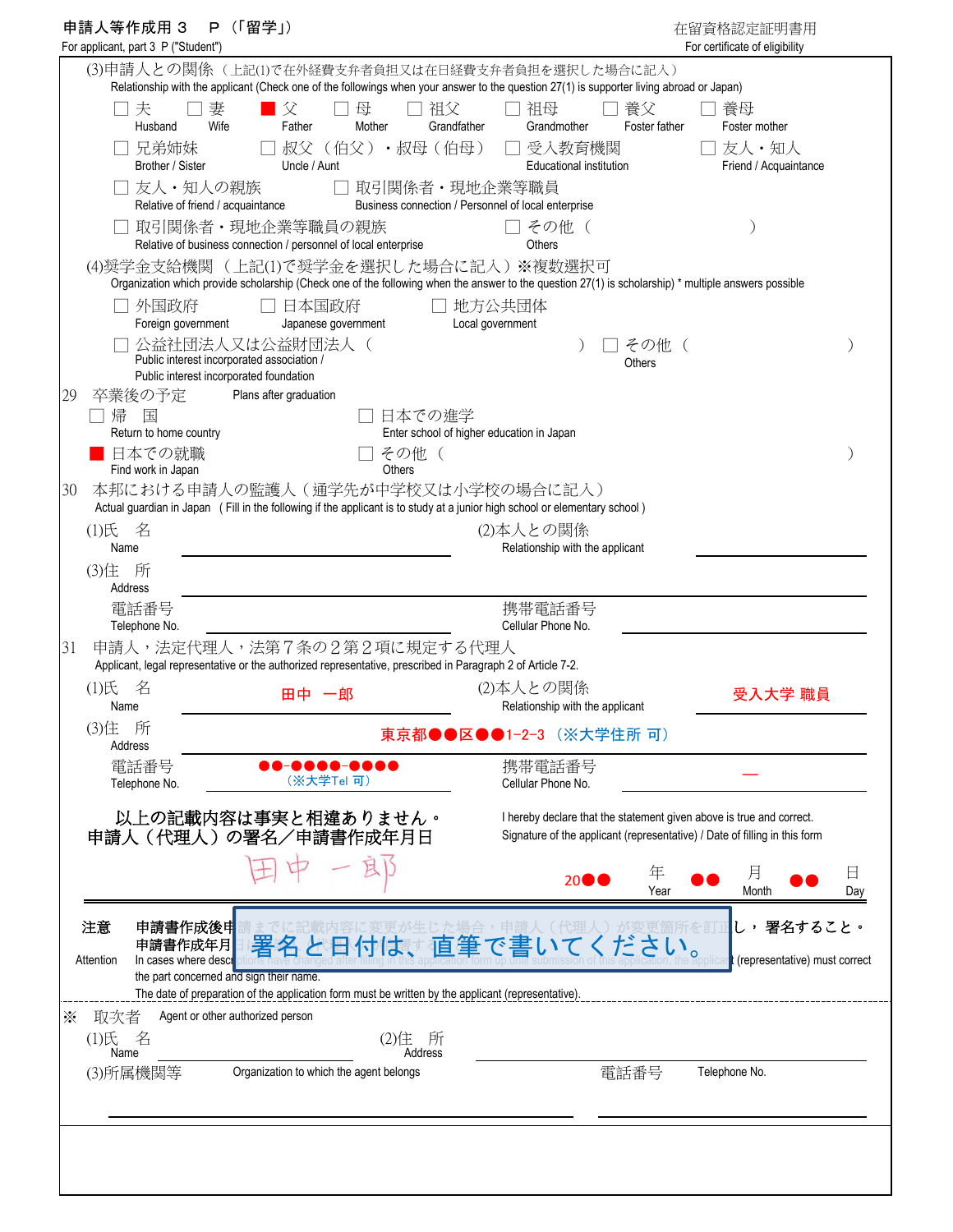| (3)申請人との関係(上記(1)で在外経費支弁者負担又は在日経費支弁者負担を選択した場合に記入)<br>Relationship with the applicant (Check one of the followings when your answer to the question 27(1) is supporter living abroad or Japan)<br>妻<br>母<br>祖父<br>祖母<br>夫<br>父<br>Wife<br>Mother<br>Husband<br>Father<br>Grandfather<br>Grandmother<br>兄弟姉妹<br>叔父(伯父)・叔母(伯母)<br>受入教育機関<br>Brother / Sister<br>Uncle / Aunt<br>Educational institution<br>□ 友人・知人の親族<br>取引関係者 · 現地企業等職員<br>Relative of friend / acquaintance<br>Business connection / Personnel of local enterprise<br>□ 取引関係者・現地企業等職員の親族<br>その他(<br>Relative of business connection / personnel of local enterprise<br><b>Others</b><br>(4)奨学金支給機関 (上記(1)で奨学金を選択した場合に記入)※複数選択可<br>Organization which provide scholarship (Check one of the following when the answer to the question 27(1) is scholarship) * multiple answers possible<br>日本国政府<br>外国政府<br>地方公共団体 | 養父<br>養母<br>Foster father<br>Foster mother<br>友人・知人<br>Friend / Acquaintance                                                                       |
|---------------------------------------------------------------------------------------------------------------------------------------------------------------------------------------------------------------------------------------------------------------------------------------------------------------------------------------------------------------------------------------------------------------------------------------------------------------------------------------------------------------------------------------------------------------------------------------------------------------------------------------------------------------------------------------------------------------------------------------------------------------------------------------------------------------------------------------------------------------------------------|----------------------------------------------------------------------------------------------------------------------------------------------------|
|                                                                                                                                                                                                                                                                                                                                                                                                                                                                                                                                                                                                                                                                                                                                                                                                                                                                                 |                                                                                                                                                    |
|                                                                                                                                                                                                                                                                                                                                                                                                                                                                                                                                                                                                                                                                                                                                                                                                                                                                                 |                                                                                                                                                    |
|                                                                                                                                                                                                                                                                                                                                                                                                                                                                                                                                                                                                                                                                                                                                                                                                                                                                                 |                                                                                                                                                    |
|                                                                                                                                                                                                                                                                                                                                                                                                                                                                                                                                                                                                                                                                                                                                                                                                                                                                                 |                                                                                                                                                    |
|                                                                                                                                                                                                                                                                                                                                                                                                                                                                                                                                                                                                                                                                                                                                                                                                                                                                                 |                                                                                                                                                    |
|                                                                                                                                                                                                                                                                                                                                                                                                                                                                                                                                                                                                                                                                                                                                                                                                                                                                                 |                                                                                                                                                    |
| Foreign government<br>Local government<br>Japanese government                                                                                                                                                                                                                                                                                                                                                                                                                                                                                                                                                                                                                                                                                                                                                                                                                   |                                                                                                                                                    |
| 公益社団法人又は公益財団法人(<br>Public interest incorporated association /<br>Public interest incorporated foundation                                                                                                                                                                                                                                                                                                                                                                                                                                                                                                                                                                                                                                                                                                                                                                        | その他 (<br><b>Others</b>                                                                                                                             |
| Plans after graduation<br>卒業後の予定<br>29                                                                                                                                                                                                                                                                                                                                                                                                                                                                                                                                                                                                                                                                                                                                                                                                                                          |                                                                                                                                                    |
| 帰<br>玉<br>日本での進学<br>Enter school of higher education in Japan<br>Return to home country                                                                                                                                                                                                                                                                                                                                                                                                                                                                                                                                                                                                                                                                                                                                                                                         |                                                                                                                                                    |
| 日本での就職<br>その他 (                                                                                                                                                                                                                                                                                                                                                                                                                                                                                                                                                                                                                                                                                                                                                                                                                                                                 |                                                                                                                                                    |
| Others<br>Find work in Japan<br>本邦における申請人の監護人(通学先が中学校又は小学校の場合に記入)<br>30<br>Actual guardian in Japan (Fill in the following if the applicant is to study at a junior high school or elementary school)                                                                                                                                                                                                                                                                                                                                                                                                                                                                                                                                                                                                                                                                           |                                                                                                                                                    |
| (2)本人との関係<br>(1)<br>名<br>Relationship with the applicant<br>Name                                                                                                                                                                                                                                                                                                                                                                                                                                                                                                                                                                                                                                                                                                                                                                                                                |                                                                                                                                                    |
| $(3)$ ( $\pm$<br>所<br>Address                                                                                                                                                                                                                                                                                                                                                                                                                                                                                                                                                                                                                                                                                                                                                                                                                                                   |                                                                                                                                                    |
| 電話番号<br>携帯電話番号<br>Cellular Phone No.<br>Telephone No.                                                                                                                                                                                                                                                                                                                                                                                                                                                                                                                                                                                                                                                                                                                                                                                                                           |                                                                                                                                                    |
| 申請人,法定代理人,法第7条の2第2項に規定する代理人<br>31<br>Applicant, legal representative or the authorized representative, prescribed in Paragraph 2 of Article 7-2.                                                                                                                                                                                                                                                                                                                                                                                                                                                                                                                                                                                                                                                                                                                                |                                                                                                                                                    |
| (2)本人との関係<br>(1)<br>名<br>田中 -<br>- RK<br>Relationship with the applicant<br>Name                                                                                                                                                                                                                                                                                                                                                                                                                                                                                                                                                                                                                                                                                                                                                                                                | 受入大学 職員                                                                                                                                            |
| $(3)$ 住<br>所<br>東京都●●区●●1-2-3 (※大学住所 可)<br>Address                                                                                                                                                                                                                                                                                                                                                                                                                                                                                                                                                                                                                                                                                                                                                                                                                              |                                                                                                                                                    |
| 電話番号<br>携帯電話番号<br>,<br>(※大学Tel 可)<br>Cellular Phone No.<br>Telephone No.                                                                                                                                                                                                                                                                                                                                                                                                                                                                                                                                                                                                                                                                                                                                                                                                        |                                                                                                                                                    |
| 以上の記載内容は事実と相違ありません。<br>申請人(代理人)の署名/申請書作成年月日                                                                                                                                                                                                                                                                                                                                                                                                                                                                                                                                                                                                                                                                                                                                                                                                                                     | I hereby declare that the statement given above is true and correct.<br>Signature of the applicant (representative) / Date of filling in this form |
| 20 <b>00</b>                                                                                                                                                                                                                                                                                                                                                                                                                                                                                                                                                                                                                                                                                                                                                                                                                                                                    | 月<br>年<br>日<br>Year<br>Month<br>Day                                                                                                                |
| 注意<br>申請書作成後申<br>直筆で書いてください。<br>署名と日付はす<br>申請書作成年月<br>In cases where descr<br>Attention<br>the part concerned and sign their name.<br>The date of preparation of the application form must be written by the applicant (representative)                                                                                                                                                                                                                                                                                                                                                                                                                                                                                                                                                                                                                                         | 署名すること。<br>し・<br>(representative) must correct                                                                                                     |
| Agent or other authorized person<br>取次者<br>⋇<br>(1)<br>名<br>(2)住 所<br>Address<br>Name                                                                                                                                                                                                                                                                                                                                                                                                                                                                                                                                                                                                                                                                                                                                                                                           |                                                                                                                                                    |
| (3)所属機関等<br>Organization to which the agent belongs                                                                                                                                                                                                                                                                                                                                                                                                                                                                                                                                                                                                                                                                                                                                                                                                                             | 電話番号<br>Telephone No.                                                                                                                              |
|                                                                                                                                                                                                                                                                                                                                                                                                                                                                                                                                                                                                                                                                                                                                                                                                                                                                                 |                                                                                                                                                    |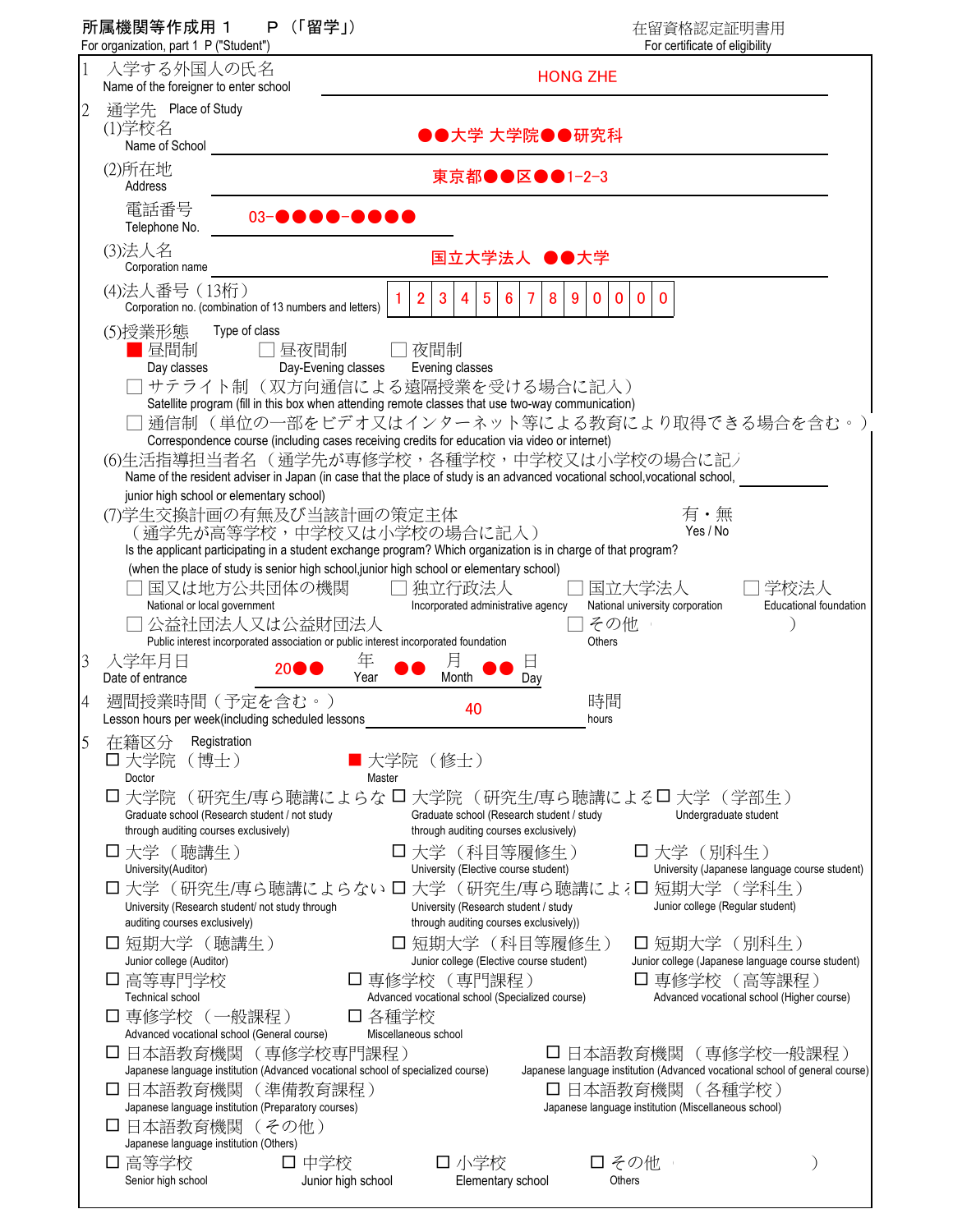|   | 所属機関等作成用 1<br>For organization, part 1 P ("Student")                                                                                                                                                                                                                                                                                                                                                                                                                                                                         |                                                                                                                                                                                                                                                                                                                                                                                                               | P (「留学」)                      |                         |                         |                                                                                                                                                                                                                                                          |          |                 |                              |                          | 在留資格認定証明書用<br>For certificate of eligibility         |                                                                                                                                                                                                                                               |                                                                              |
|---|------------------------------------------------------------------------------------------------------------------------------------------------------------------------------------------------------------------------------------------------------------------------------------------------------------------------------------------------------------------------------------------------------------------------------------------------------------------------------------------------------------------------------|---------------------------------------------------------------------------------------------------------------------------------------------------------------------------------------------------------------------------------------------------------------------------------------------------------------------------------------------------------------------------------------------------------------|-------------------------------|-------------------------|-------------------------|----------------------------------------------------------------------------------------------------------------------------------------------------------------------------------------------------------------------------------------------------------|----------|-----------------|------------------------------|--------------------------|------------------------------------------------------|-----------------------------------------------------------------------------------------------------------------------------------------------------------------------------------------------------------------------------------------------|------------------------------------------------------------------------------|
|   | 入学する外国人の氏名<br>Name of the foreigner to enter school                                                                                                                                                                                                                                                                                                                                                                                                                                                                          |                                                                                                                                                                                                                                                                                                                                                                                                               |                               |                         |                         |                                                                                                                                                                                                                                                          |          | <b>HONG ZHE</b> |                              |                          |                                                      |                                                                                                                                                                                                                                               |                                                                              |
| 2 | 通学先 Place of Study<br>(1)学校名<br>Name of School                                                                                                                                                                                                                                                                                                                                                                                                                                                                               |                                                                                                                                                                                                                                                                                                                                                                                                               |                               |                         |                         | ●●大学 大学院●●研究科                                                                                                                                                                                                                                            |          |                 |                              |                          |                                                      |                                                                                                                                                                                                                                               |                                                                              |
|   | (2)所在地<br>Address                                                                                                                                                                                                                                                                                                                                                                                                                                                                                                            |                                                                                                                                                                                                                                                                                                                                                                                                               |                               |                         |                         | 東京都●●区●●1-2-3                                                                                                                                                                                                                                            |          |                 |                              |                          |                                                      |                                                                                                                                                                                                                                               |                                                                              |
|   | 電話番号<br>Telephone No.                                                                                                                                                                                                                                                                                                                                                                                                                                                                                                        |                                                                                                                                                                                                                                                                                                                                                                                                               | 03- <b>0000-0000</b>          |                         |                         |                                                                                                                                                                                                                                                          |          |                 |                              |                          |                                                      |                                                                                                                                                                                                                                               |                                                                              |
|   | (3)法人名<br>Corporation name                                                                                                                                                                                                                                                                                                                                                                                                                                                                                                   |                                                                                                                                                                                                                                                                                                                                                                                                               |                               |                         |                         | 国立大学法人 ●●大学                                                                                                                                                                                                                                              |          |                 |                              |                          |                                                      |                                                                                                                                                                                                                                               |                                                                              |
|   | (4)法人番号 (13桁)<br>Corporation no. (combination of 13 numbers and letters)                                                                                                                                                                                                                                                                                                                                                                                                                                                     |                                                                                                                                                                                                                                                                                                                                                                                                               |                               |                         | $\overline{2}$<br>3     | $\sqrt{5}$<br>4                                                                                                                                                                                                                                          | 7<br>6   | 8<br>9          | $\mathbf{0}$<br>$\mathbf{0}$ | $\mathbf{0}$<br>$\bf{0}$ |                                                      |                                                                                                                                                                                                                                               |                                                                              |
|   | (5)授業形態<br>■昼間制<br>Day classes<br>(6)生活指導担当者名 (通学先が専修学校,各種学校,中学校又は小学校の場合に記)<br>Name of the resident adviser in Japan (in case that the place of study is an advanced vocational school, vocational school,<br>junior high school or elementary school)<br>(7)学生交換計画の有無及び当該計画の策定主体<br>(通学先が高等学校,中学校又は小学校の場合に記入)<br>Is the applicant participating in a student exchange program? Which organization is in charge of that program?<br>(when the place of study is senior high school, junior high school or elementary school) | Type of class<br>サテライト制(双方向通信による遠隔授業を受ける場合に記入)<br>Satellite program (fill in this box when attending remote classes that use two-way communication)<br>Correspondence course (including cases receiving credits for education via video or internet)<br>国又は地方公共団体の機関<br>National or local government<br>公益社団法人又は公益財団法人<br>Public interest incorporated association or public interest incorporated foundation | □ 昼夜間制<br>Day-Evening classes | □ 独立行政法人                | □夜間制<br>Evening classes | Incorporated administrative agency                                                                                                                                                                                                                       |          |                 | 国立大学法人<br>その他<br>Others      |                          | 有・無<br>Yes / No<br>National university corporation   | 学校法人                                                                                                                                                                                                                                          | 通信制(単位の一部をビデオ又はインターネット等による教育により取得できる場合を含む。)<br><b>Educational foundation</b> |
| 3 | 入学年月日<br>Date of entrance                                                                                                                                                                                                                                                                                                                                                                                                                                                                                                    |                                                                                                                                                                                                                                                                                                                                                                                                               | 20                            | 年<br>Year               | 月                       | Month                                                                                                                                                                                                                                                    | 日<br>Day |                 |                              |                          |                                                      |                                                                                                                                                                                                                                               |                                                                              |
|   | 週間授業時間(予定を含む。)<br>Lesson hours per week(including scheduled lessons                                                                                                                                                                                                                                                                                                                                                                                                                                                          |                                                                                                                                                                                                                                                                                                                                                                                                               |                               |                         |                         | 40                                                                                                                                                                                                                                                       |          |                 | 時間<br>hours                  |                          |                                                      |                                                                                                                                                                                                                                               |                                                                              |
| 5 | 在籍区分<br>口 大学院<br>Doctor                                                                                                                                                                                                                                                                                                                                                                                                                                                                                                      | Registration<br>(博士)                                                                                                                                                                                                                                                                                                                                                                                          |                               | Master                  | 大学院 (修士)                |                                                                                                                                                                                                                                                          |          |                 |                              |                          |                                                      |                                                                                                                                                                                                                                               |                                                                              |
|   | □ 大学院 (研究生/専ら聴講によらな □ 大学院 (研究生/専ら聴講による□ 大学 (学部生)<br>Graduate school (Research student / not study<br>through auditing courses exclusively)                                                                                                                                                                                                                                                                                                                                                                                   |                                                                                                                                                                                                                                                                                                                                                                                                               |                               |                         |                         | Graduate school (Research student / study<br>through auditing courses exclusively)                                                                                                                                                                       |          |                 |                              |                          | Undergraduate student                                |                                                                                                                                                                                                                                               |                                                                              |
|   | 口大学 (聴講生)<br>University(Auditor)<br>□ 大学( 研究生/専ら聴講によらない □ 大学( 研究生/専ら聴講によミ□ 短期大学( 学科生 )<br>University (Research student/ not study through<br>auditing courses exclusively)<br>口 短期大学 (聴講生)<br>Junior college (Auditor)<br>□ 高等専門学校<br>Technical school<br>□ 専修学校 (一般課程)<br>Advanced vocational school (General course)<br>日本語教育機関 (専修学校専門課程)<br>ப<br>Japanese language institution (Advanced vocational school of specialized course)<br>日本語教育機関 (準備教育課程)<br>ப                                                               |                                                                                                                                                                                                                                                                                                                                                                                                               |                               | □ 専修学校 (専門課程)<br>□ 各種学校 | Miscellaneous school    | 口大学 (科目等履修生)<br>University (Elective course student)<br>University (Research student / study<br>through auditing courses exclusively))<br>□ 短期大学 (科目等履修生)<br>Junior college (Elective course student)<br>Advanced vocational school (Specialized course) |          |                 |                              |                          | 口大学 (別科生)<br>□ 日本語教育機関 (各種学校)                        | University (Japanese language course student)<br>Junior college (Regular student)<br>口 短期大学 (別科生)<br>Junior college (Japanese language course student)<br>□ 専修学校 (高等課程)<br>Advanced vocational school (Higher course)<br>□ 日本語教育機関 (専修学校一般課程) | Japanese language institution (Advanced vocational school of general course) |
|   | Japanese language institution (Preparatory courses)<br>日本語教育機関 (その他)<br>Japanese language institution (Others)<br>高等学校<br>ப<br>Senior high school                                                                                                                                                                                                                                                                                                                                                                            |                                                                                                                                                                                                                                                                                                                                                                                                               | 口 中学校                         | Junior high school      |                         | □ 小学校<br>Elementary school                                                                                                                                                                                                                               |          |                 | □ その他<br>Others              |                          | Japanese language institution (Miscellaneous school) |                                                                                                                                                                                                                                               |                                                                              |